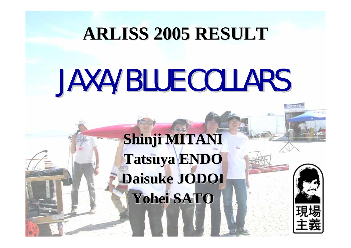# **ARLISS 2005 RESULT ARLISS 2005 RESULT**

# **JAXA/BLUE COLLARS**

**Shinji MITANI Shinji MITANI Tatsuya ENDO Tatsuya ENDO Daisuke JODOI Daisuke JODOI Yohei SATO Yohei SATO**

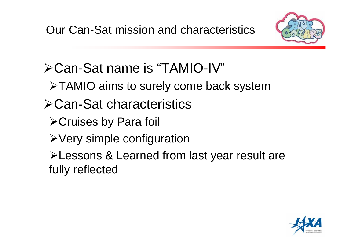

- Can-Sat name is "TAMIO-IV"
	- TAMIO aims to surely come back system
- Can-Sat characteristics
	- Cruises by Para foil
	- Very simple configuration
	- Lessons & Learned from last year result are fully reflected

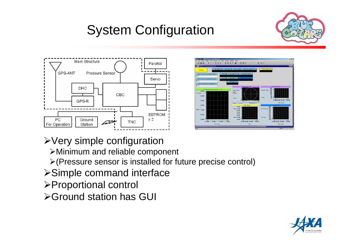## System Configuration







- ¾Very simple configuration
	- ¾Minimum and reliable component
	- $\triangleright$  (Pressure sensor is installed for future precise control)
- ¾Simple command interface
- ¾Proportional control
- **≻Ground station has GUI**

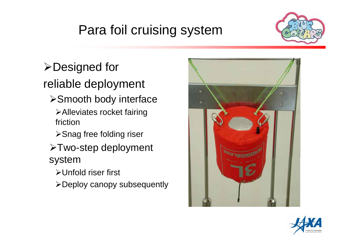## Para foil cruising system



#### **≻Designed for**

#### reliable deployment

**≻Smooth body interface** 

¾Alleviates rocket fairing friction

**≻Snag free folding riser** 

¾Two-step deployment system

¾Unfold riser first

¾Deploy canopy subsequently



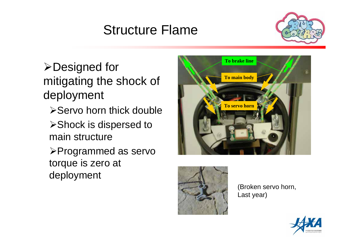#### Structure Flame



**≻Designed for** mitigating the shock of deployment

- **≻Servo horn thick double**
- ¾Shock is dispersed to main structure

¾Programmed as servo torque is zero at deployment





(Broken servo horn, Last year)

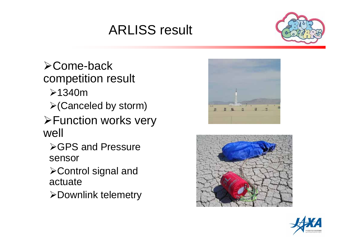## ARLISS result



¾Come-back competition result

- $\geq$ 1340m
- $\triangleright$  (Canceled by storm)
- **≻Function works very** well
	- **≻GPS and Pressure** sensor
	- ¾Control signal and actuate
	- ¾Downlink telemetry





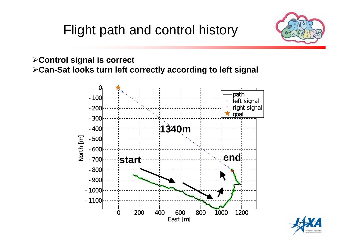#### Flight path and control history



¾**Control signal is correct** ¾**Can-Sat looks turn left correctly according to left signal**



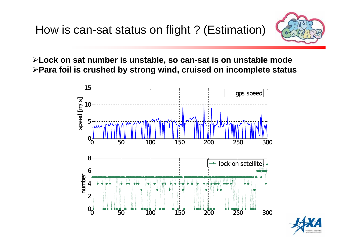

**Lock on sat number is unstable, so can-sat is o n unstable mode Para foil is crushed by strong wind, cruised on incomplete status**



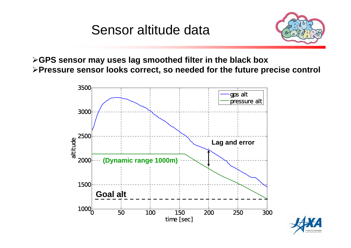#### Sensor altitude data



¾**GPS sensor may uses lag smoothed filter in the black box** ¾**Pressure sensor looks correct, so needed for the future precise control**



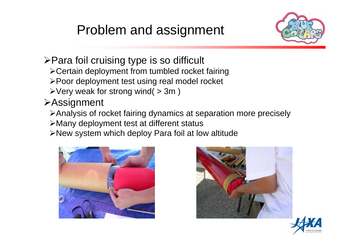#### Problem and assignment



#### $\triangleright$  Para foil cruising type is so difficult

- ¾Certain deployment from tumbled rocket fairing
- ¾Poor deployment test using real model rocket
- $\triangleright$  Very weak for strong wind(  $>$  3m)

#### **≻Assignment**

- ¾Analysis of rocket fairing dynamics at separation more precisely
- ¾Many deployment test at different status
- ¾New system which deploy Para foil at low altitude